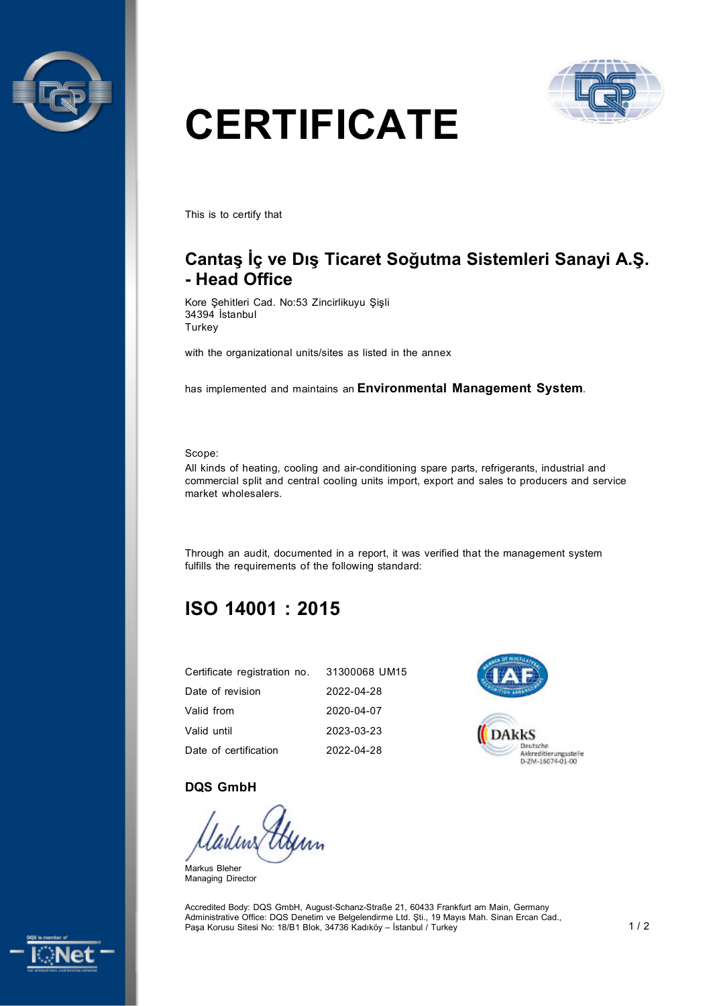



# **CERTIFICATE**

This is to certify that

# **Cantaş İç ve Dış Ticaret Soğutma Sistemleri Sanayi A.Ş. - Head Office**

Kore Şehitleri Cad. No:53 Zincirlikuyu Şişli 34394 İstanbul **Turkey** 

with the organizational units/sites as listed in the annex

has implemented and maintains an **Environmental Management System**.

Scope:

All kinds of heating, cooling and air-conditioning spare parts, refrigerants, industrial and commercial split and central cooling units import, export and sales to producers and service market wholesalers.

Through an audit, documented in a report, it was verified that the management system fulfills the requirements of the following standard:

# **ISO 14001 : 2015**

| Certificate registration no. | 31300068 UM15 |
|------------------------------|---------------|
| Date of revision             | 2022-04-28    |
| Valid from                   | 2020-04-07    |
| Valid until                  | 2023-03-23    |
| Date of certification        | 2022-04-28    |



#### **DQS GmbH**

Markus Bleher Managing Director

Accredited Body: DQS GmbH, August-Schanz-Straße 21, 60433 Frankfurt am Main, Germany Administrative Office: DQS Denetim ve Belgelendirme Ltd. Şti., 19 Mayıs Mah. Sinan Ercan Cad., Paşa Korusu Sitesi No: 18/B1 Blok, 34736 Kadıköy – İstanbul / Turkey 1 / 2